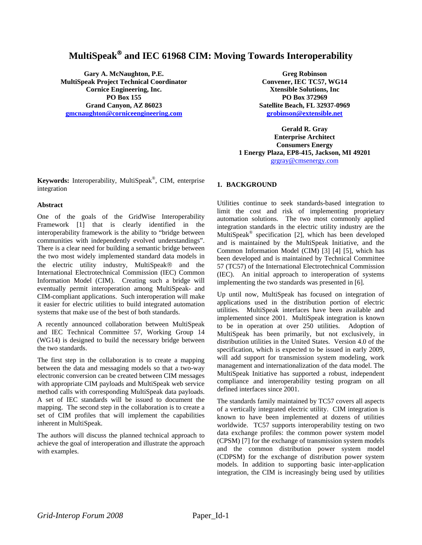# **MultiSpeak**® **and IEC 61968 CIM: Moving Towards Interoperability**

**Gary A. McNaughton, P.E. MultiSpeak Project Technical Coordinator Cornice Engineering, Inc. PO Box 155 Grand Canyon, AZ 86023 gmcnaughton@corniceengineering.com**

**Greg Robinson Convener, IEC TC57, WG14 Xtensible Solutions, Inc PO Box 372969 Satellite Beach, FL 32937-0969 grobinson@extensible.net** 

**Gerald R. Gray Enterprise Architect Consumers Energy 1 Energy Plaza, EP8-415, Jackson, MI 49201** grgray@cmsenergy.com

**Keywords:** Interoperability, MultiSpeak®, CIM, enterprise integration

## **Abstract**

One of the goals of the GridWise Interoperability Framework [1] that is clearly identified in the interoperability framework is the ability to "bridge between communities with independently evolved understandings". There is a clear need for building a semantic bridge between the two most widely implemented standard data models in the electric utility industry, MultiSpeak® and the International Electrotechnical Commission (IEC) Common Information Model (CIM). Creating such a bridge will eventually permit interoperation among MultiSpeak- and CIM-compliant applications. Such interoperation will make it easier for electric utilities to build integrated automation systems that make use of the best of both standards.

A recently announced collaboration between MultiSpeak and IEC Technical Committee 57, Working Group 14 (WG14) is designed to build the necessary bridge between the two standards.

The first step in the collaboration is to create a mapping between the data and messaging models so that a two-way electronic conversion can be created between CIM messages with appropriate CIM payloads and MultiSpeak web service method calls with corresponding MultiSpeak data payloads. A set of IEC standards will be issued to document the mapping. The second step in the collaboration is to create a set of CIM profiles that will implement the capabilities inherent in MultiSpeak.

The authors will discuss the planned technical approach to achieve the goal of interoperation and illustrate the approach with examples.

# **1. BACKGROUND**

Utilities continue to seek standards-based integration to limit the cost and risk of implementing proprietary automation solutions. The two most commonly applied integration standards in the electric utility industry are the MultiSpeak® specification [2], which has been developed and is maintained by the MultiSpeak Initiative, and the Common Information Model (CIM) [3] [4] [5], which has been developed and is maintained by Technical Committee 57 (TC57) of the International Electrotechnical Commission (IEC). An initial approach to interoperation of systems implementing the two standards was presented in [6].

Up until now, MultiSpeak has focused on integration of applications used in the distribution portion of electric utilities. MultiSpeak interfaces have been available and implemented since 2001. MultiSpeak integration is known to be in operation at over 250 utilities. Adoption of MultiSpeak has been primarily, but not exclusively, in distribution utilities in the United States. Version 4.0 of the specification, which is expected to be issued in early 2009, will add support for transmission system modeling, work management and internationalization of the data model. The MultiSpeak Initiative has supported a robust, independent compliance and interoperability testing program on all defined interfaces since 2001.

The standards family maintained by TC57 covers all aspects of a vertically integrated electric utility. CIM integration is known to have been implemented at dozens of utilities worldwide. TC57 supports interoperability testing on two data exchange profiles: the common power system model (CPSM) [7] for the exchange of transmission system models and the common distribution power system model (CDPSM) for the exchange of distribution power system models. In addition to supporting basic inter-application integration, the CIM is increasingly being used by utilities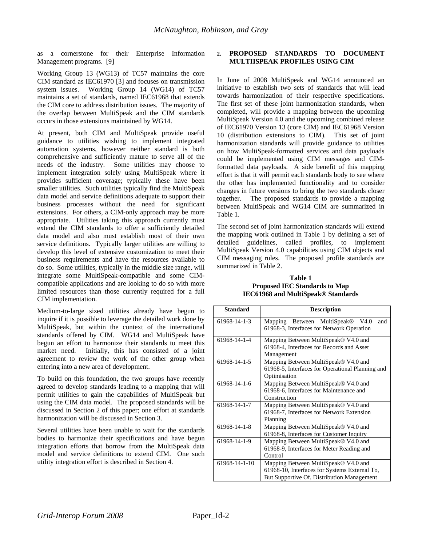as a cornerstone for their Enterprise Information Management programs. [9]

Working Group 13 (WG13) of TC57 maintains the core CIM standard as IEC61970 [3] and focuses on transmission system issues. Working Group 14 (WG14) of TC57 maintains a set of standards, named IEC61968 that extends the CIM core to address distribution issues. The majority of the overlap between MultiSpeak and the CIM standards occurs in those extensions maintained by WG14.

At present, both CIM and MultiSpeak provide useful guidance to utilities wishing to implement integrated automation systems, however neither standard is both comprehensive and sufficiently mature to serve all of the needs of the industry. Some utilities may choose to implement integration solely using MultiSpeak where it provides sufficient coverage; typically these have been smaller utilities. Such utilities typically find the MultiSpeak data model and service definitions adequate to support their business processes without the need for significant extensions. For others, a CIM-only approach may be more appropriate. Utilities taking this approach currently must extend the CIM standards to offer a sufficiently detailed data model and also must establish most of their own service definitions. Typically larger utilities are willing to develop this level of extensive customization to meet their business requirements and have the resources available to do so. Some utilities, typically in the middle size range, will integrate some MultiSpeak-compatible and some CIMcompatible applications and are looking to do so with more limited resources than those currently required for a full CIM implementation.

Medium-to-large sized utilities already have begun to inquire if it is possible to leverage the detailed work done by MultiSpeak, but within the context of the international standards offered by CIM. WG14 and MultiSpeak have begun an effort to harmonize their standards to meet this market need. Initially, this has consisted of a joint agreement to review the work of the other group when entering into a new area of development.

To build on this foundation, the two groups have recently agreed to develop standards leading to a mapping that will permit utilities to gain the capabilities of MultiSpeak but using the CIM data model. The proposed standards will be discussed in Section 2 of this paper; one effort at standards harmonization will be discussed in Section 3.

Several utilities have been unable to wait for the standards bodies to harmonize their specifications and have begun integration efforts that borrow from the MultiSpeak data model and service definitions to extend CIM. One such utility integration effort is described in Section 4.

# **2. PROPOSED STANDARDS TO DOCUMENT MULTIISPEAK PROFILES USING CIM**

In June of 2008 MultiSpeak and WG14 announced an initiative to establish two sets of standards that will lead towards harmonization of their respective specifications. The first set of these joint harmonization standards, when completed, will provide a mapping between the upcoming MultiSpeak Version 4.0 and the upcoming combined release of IEC61970 Version 13 (core CIM) and IEC61968 Version 10 (distribution extensions to CIM). This set of joint harmonization standards will provide guidance to utilities on how MultiSpeak-formatted services and data payloads could be implemented using CIM messages and CIMformatted data payloads. A side benefit of this mapping effort is that it will permit each standards body to see where the other has implemented functionality and to consider changes in future versions to bring the two standards closer together. The proposed standards to provide a mapping between MultiSpeak and WG14 CIM are summarized in Table 1.

The second set of joint harmonization standards will extend the mapping work outlined in Table 1 by defining a set of detailed guidelines, called profiles, to implement MultiSpeak Version 4.0 capabilities using CIM objects and CIM messaging rules. The proposed profile standards are summarized in Table 2.

**Table 1 Proposed IEC Standards to Map IEC61968 and MultiSpeak® Standards** 

| <b>Standard</b> | <b>Description</b>                                                                                                                  |
|-----------------|-------------------------------------------------------------------------------------------------------------------------------------|
| 61968-14-1-3    | Mapping Between MultiSpeak®<br>V <sub>4.0</sub><br>and<br>61968-3, Interfaces for Network Operation                                 |
| 61968-14-1-4    | Mapping Between MultiSpeak® V4.0 and<br>61968-4, Interfaces for Records and Asset<br>Management                                     |
| 61968-14-1-5    | Mapping Between MultiSpeak® V4.0 and<br>61968-5, Interfaces for Operational Planning and<br>Optimisation                            |
| 61968-14-1-6    | Mapping Between MultiSpeak® V4.0 and<br>61968-6, Interfaces for Maintenance and<br>Construction                                     |
| 61968-14-1-7    | Mapping Between MultiSpeak® V4.0 and<br>61968-7, Interfaces for Network Extension<br>Planning                                       |
| 61968-14-1-8    | Mapping Between MultiSpeak® V4.0 and<br>61968-8, Interfaces for Customer Inquiry                                                    |
| 61968-14-1-9    | Mapping Between MultiSpeak® V4.0 and<br>61968-9, Interfaces for Meter Reading and<br>Control                                        |
| 61968-14-1-10   | Mapping Between MultiSpeak® V4.0 and<br>61968-10, Interfaces for Systems External To,<br>But Supportive Of, Distribution Management |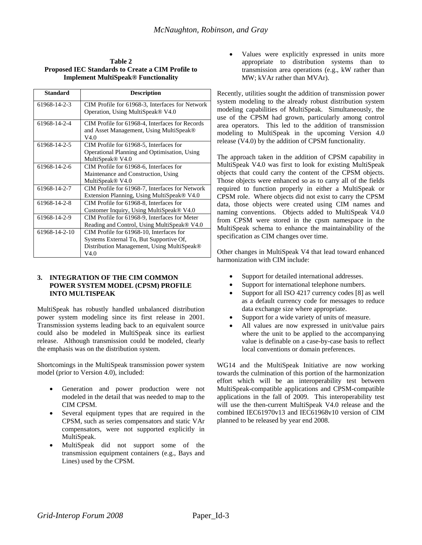| Table 2                                           |
|---------------------------------------------------|
| Proposed IEC Standards to Create a CIM Profile to |
| <b>Implement MultiSpeak® Functionality</b>        |

| <b>Standard</b> | <b>Description</b>                                                                                                                        |
|-----------------|-------------------------------------------------------------------------------------------------------------------------------------------|
| 61968-14-2-3    | CIM Profile for 61968-3, Interfaces for Network<br>Operation, Using MultiSpeak® V4.0                                                      |
| 61968-14-2-4    | CIM Profile for 61968-4, Interfaces for Records<br>and Asset Management, Using MultiSpeak®<br>V4.0                                        |
| 61968-14-2-5    | CIM Profile for 61968-5, Interfaces for<br>Operational Planning and Optimisation, Using<br>MultiSpeak <sup>®</sup> V4.0                   |
| 61968-14-2-6    | CIM Profile for 61968-6, Interfaces for<br>Maintenance and Construction, Using<br>MultiSpeak <sup>®</sup> V4.0                            |
| 61968-14-2-7    | CIM Profile for 61968-7, Interfaces for Network<br>Extension Planning, Using MultiSpeak® V4.0                                             |
| 61968-14-2-8    | CIM Profile for 61968-8, Interfaces for<br>Customer Inquiry, Using MultiSpeak® V4.0                                                       |
| 61968-14-2-9    | CIM Profile for 61968-9, Interfaces for Meter<br>Reading and Control, Using MultiSpeak® V4.0                                              |
| 61968-14-2-10   | CIM Profile for 61968-10, Interfaces for<br>Systems External To, But Supportive Of,<br>Distribution Management, Using MultiSpeak®<br>V4.0 |

#### **3. INTEGRATION OF THE CIM COMMON POWER SYSTEM MODEL (CPSM) PROFILE INTO MULTISPEAK**

MultiSpeak has robustly handled unbalanced distribution power system modeling since its first release in 2001. Transmission systems leading back to an equivalent source could also be modeled in MultiSpeak since its earliest release. Although transmission could be modeled, clearly the emphasis was on the distribution system.

Shortcomings in the MultiSpeak transmission power system model (prior to Version 4.0), included:

- Generation and power production were not modeled in the detail that was needed to map to the CIM CPSM.
- Several equipment types that are required in the CPSM, such as series compensators and static VAr compensators, were not supported explicitly in MultiSpeak.
- MultiSpeak did not support some of the transmission equipment containers (e.g., Bays and Lines) used by the CPSM.

Values were explicitly expressed in units more appropriate to distribution systems than to transmission area operations (e.g., kW rather than MW; kVAr rather than MVAr).

Recently, utilities sought the addition of transmission power system modeling to the already robust distribution system modeling capabilities of MultiSpeak. Simultaneously, the use of the CPSM had grown, particularly among control area operators. This led to the addition of transmission modeling to MultiSpeak in the upcoming Version 4.0 release (V4.0) by the addition of CPSM functionality.

The approach taken in the addition of CPSM capability in MultiSpeak V4.0 was first to look for existing MultiSpeak objects that could carry the content of the CPSM objects. Those objects were enhanced so as to carry all of the fields required to function properly in either a MultiSpeak or CPSM role. Where objects did not exist to carry the CPSM data, those objects were created using CIM names and naming conventions. Objects added to MultiSpeak V4.0 from CPSM were stored in the cpsm namespace in the MultiSpeak schema to enhance the maintainability of the specification as CIM changes over time.

Other changes in MultiSpeak V4 that lead toward enhanced harmonization with CIM include:

- Support for detailed international addresses.
- Support for international telephone numbers.
- Support for all ISO 4217 currency codes [8] as well as a default currency code for messages to reduce data exchange size where appropriate.
- Support for a wide variety of units of measure.
- All values are now expressed in unit/value pairs where the unit to be applied to the accompanying value is definable on a case-by-case basis to reflect local conventions or domain preferences.

WG14 and the MultiSpeak Initiative are now working towards the culmination of this portion of the harmonization effort which will be an interoperability test between MultiSpeak-compatible applications and CPSM-compatible applications in the fall of 2009. This interoperability test will use the then-current MultiSpeak V4.0 release and the combined IEC61970v13 and IEC61968v10 version of CIM planned to be released by year end 2008.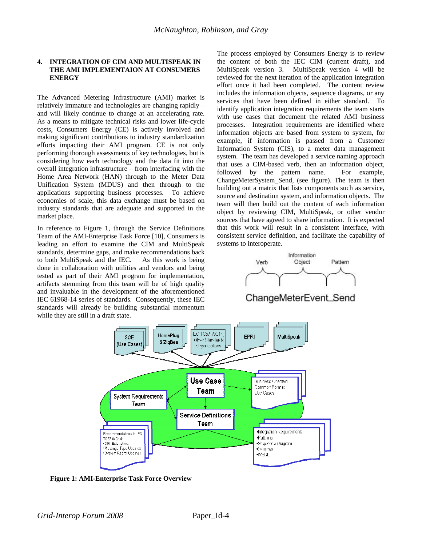## **4. INTEGRATION OF CIM AND MULTISPEAK IN THE AMI IMPLEMENTAION AT CONSUMERS ENERGY**

The Advanced Metering Infrastructure (AMI) market is relatively immature and technologies are changing rapidly – and will likely continue to change at an accelerating rate. As a means to mitigate technical risks and lower life-cycle costs, Consumers Energy (CE) is actively involved and making significant contributions to industry standardization efforts impacting their AMI program. CE is not only performing thorough assessments of key technologies, but is considering how each technology and the data fit into the overall integration infrastructure – from interfacing with the Home Area Network (HAN) through to the Meter Data Unification System (MDUS) and then through to the applications supporting business processes. To achieve economies of scale, this data exchange must be based on industry standards that are adequate and supported in the market place.

In reference to Figure 1, through the Service Definitions Team of the AMI-Enterprise Task Force [10], Consumers is leading an effort to examine the CIM and MultiSpeak standards, determine gaps, and make recommendations back to both MultiSpeak and the IEC. As this work is being done in collaboration with utilities and vendors and being tested as part of their AMI program for implementation, artifacts stemming from this team will be of high quality and invaluable in the development of the aforementioned IEC 61968-14 series of standards. Consequently, these IEC standards will already be building substantial momentum while they are still in a draft state.

The process employed by Consumers Energy is to review the content of both the IEC CIM (current draft), and MultiSpeak version 3. MultiSpeak version 4 will be reviewed for the next iteration of the application integration effort once it had been completed. The content review includes the information objects, sequence diagrams, or any services that have been defined in either standard. To identify application integration requirements the team starts with use cases that document the related AMI business processes. Integration requirements are identified where information objects are based from system to system, for example, if information is passed from a Customer Information System (CIS), to a meter data management system. The team has developed a service naming approach that uses a CIM-based verb, then an information object, followed by the pattern name. For example, ChangeMeterSystem\_Send, (see figure). The team is then building out a matrix that lists components such as service, source and destination system, and information objects. The team will then build out the content of each information object by reviewing CIM, MultiSpeak, or other vendor sources that have agreed to share information. It is expected that this work will result in a consistent interface, with consistent service definition, and facilitate the capability of systems to interoperate.







**Figure 1: AMI-Enterprise Task Force Overview**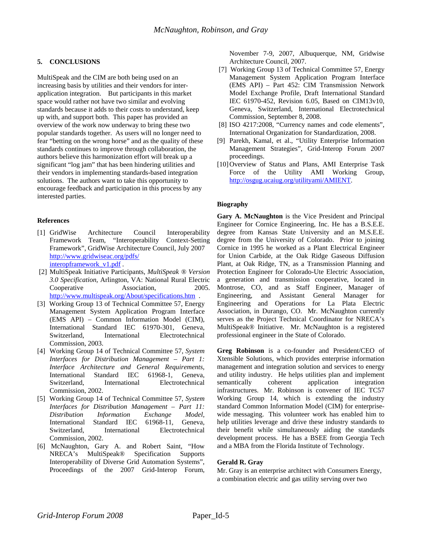# **5. CONCLUSIONS**

MultiSpeak and the CIM are both being used on an increasing basis by utilities and their vendors for interapplication integration. But participants in this market space would rather not have two similar and evolving standards because it adds to their costs to understand, keep up with, and support both. This paper has provided an overview of the work now underway to bring these two popular standards together. As users will no longer need to fear "betting on the wrong horse" and as the quality of these standards continues to improve through collaboration, the authors believe this harmonization effort will break up a significant "log jam" that has been hindering utilities and their vendors in implementing standards-based integration solutions. The authors want to take this opportunity to encourage feedback and participation in this process by any interested parties.

#### **References**

- [1] GridWise Architecture Council Interoperability Framework Team, "Interoperability Context-Setting Framework", GridWise Architecture Council, July 2007 http://www.gridwiseac.org/pdfs/ interopframework\_v1.pdf .
- [2] MultiSpeak Initiative Participants, *MultiSpeak ® Version 3.0 Specification*, Arlington, VA: National Rural Electric Cooperative Association, 2005. http://www.multispeak.org/About/specifications.htm .
- [3] Working Group 13 of Technical Committee 57, Energy Management System Application Program Interface (EMS API) – Common Information Model (CIM), International Standard IEC 61970-301, Geneva, Switzerland, International Electrotechnical Commission, 2003.
- [4] Working Group 14 of Technical Committee 57, *System Interfaces for Distribution Management – Part 1: Interface Architecture and General Requirements,*  International Standard IEC 61968-1, Geneva, Switzerland, International Electrotechnical Commission, 2002.
- [5] Working Group 14 of Technical Committee 57, *System Interfaces for Distribution Management – Part 11: Distribution Information Exchange Model,*  International Standard IEC 61968-11, Geneva, Switzerland, International Electrotechnical Commission, 2002.
- [6] McNaughton, Gary A. and Robert Saint, "How NRECA's MultiSpeak® Specification Supports Interoperability of Diverse Grid Automation Systems", Proceedings of the 2007 Grid-Interop Forum,

November 7-9, 2007, Albuquerque, NM, Gridwise Architecture Council, 2007.

- [7] Working Group 13 of Technical Committee 57, Energy Management System Application Program Interface (EMS API) – Part 452: CIM Transmission Network Model Exchange Profile, Draft International Standard IEC 61970-452, Revision 6.05, Based on CIM13v10, Geneva, Switzerland, International Electrotechnical Commission, September 8, 2008.
- [8] ISO 4217:2008, "Currency names and code elements", International Organization for Standardization, 2008.
- [9] Parekh, Kamal, et al., "Utility Enterprise Information Management Strategies", Grid-Interop Forum 2007 proceedings.
- [10] Overview of Status and Plans, AMI Enterprise Task Force of the Utility AMI Working Group, http://osgug.ucaiug.org/utilityami/AMIENT.

#### **Biography**

**Gary A. McNaughton** is the Vice President and Principal Engineer for Cornice Engineering, Inc. He has a B.S.E.E. degree from Kansas State University and an M.S.E.E. degree from the University of Colorado. Prior to joining Cornice in 1995 he worked as a Plant Electrical Engineer for Union Carbide, at the Oak Ridge Gaseous Diffusion Plant, at Oak Ridge, TN, as a Transmission Planning and Protection Engineer for Colorado-Ute Electric Association, a generation and transmission cooperative, located in Montrose, CO, and as Staff Engineer, Manager of Engineering, and Assistant General Manager for Engineering and Operations for La Plata Electric Association, in Durango, CO. Mr. McNaughton currently serves as the Project Technical Coordinator for NRECA's MultiSpeak® Initiative. Mr. McNaughton is a registered professional engineer in the State of Colorado.

**Greg Robinson** is a co-founder and President/CEO of Xtensible Solutions, which provides enterprise information management and integration solution and services to energy and utility industry. He helps utilities plan and implement semantically coherent application integration infrastructures. Mr. Robinson is convener of IEC TC57 Working Group 14, which is extending the industry standard Common Information Model (CIM) for enterprisewide messaging. This volunteer work has enabled him to help utilities leverage and drive these industry standards to their benefit while simultaneously aiding the standards development process. He has a BSEE from Georgia Tech and a MBA from the Florida Institute of Technology.

#### **Gerald R. Gray**

Mr. Gray is an enterprise architect with Consumers Energy, a combination electric and gas utility serving over two